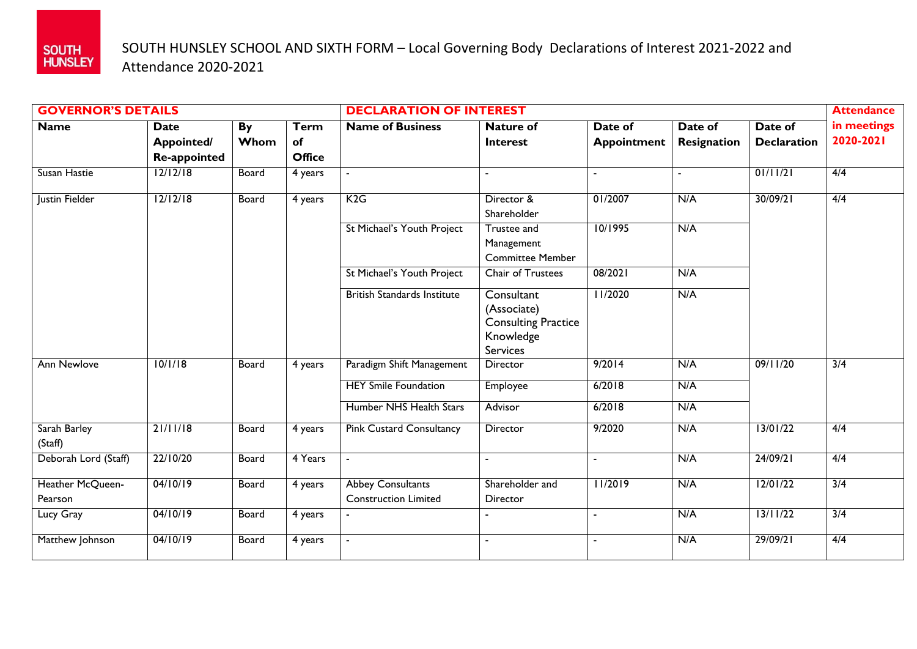

## SOUTH HUNSLEY SCHOOL AND SIXTH FORM – Local Governing Body Declarations of Interest 2021-2022 and Attendance 2020-2021

| <b>GOVERNOR'S DETAILS</b>   |              |              |               | <b>DECLARATION OF INTEREST</b>                          |                                                                                         |                    |                    |                    | <b>Attendance</b> |
|-----------------------------|--------------|--------------|---------------|---------------------------------------------------------|-----------------------------------------------------------------------------------------|--------------------|--------------------|--------------------|-------------------|
| <b>Name</b>                 | <b>Date</b>  | By           | <b>Term</b>   | <b>Name of Business</b>                                 | <b>Nature of</b>                                                                        | Date of            | Date of            | Date of            | in meetings       |
|                             | Appointed/   | Whom         | of            |                                                         | <b>Interest</b>                                                                         | <b>Appointment</b> | <b>Resignation</b> | <b>Declaration</b> | 2020-2021         |
|                             | Re-appointed |              | <b>Office</b> |                                                         |                                                                                         |                    |                    |                    |                   |
| Susan Hastie                | 12/12/18     | <b>Board</b> | 4 years       |                                                         |                                                                                         |                    |                    | 01/11/21           | 4/4               |
| Justin Fielder              | 12/12/18     | <b>Board</b> | 4 years       | K2G                                                     | Director &<br>Shareholder                                                               | 01/2007            | N/A                | 30/09/21           | 4/4               |
|                             |              |              |               | St Michael's Youth Project                              | Trustee and<br>Management<br><b>Committee Member</b>                                    | 10/1995            | N/A                |                    |                   |
|                             |              |              |               | St Michael's Youth Project                              | Chair of Trustees                                                                       | 08/2021            | N/A                |                    |                   |
|                             |              |              |               | <b>British Standards Institute</b>                      | Consultant<br>(Associate)<br><b>Consulting Practice</b><br>Knowledge<br><b>Services</b> | 11/2020            | N/A                |                    |                   |
| <b>Ann Newlove</b>          | 10/1/18      | <b>Board</b> | 4 years       | Paradigm Shift Management                               | Director                                                                                | 9/2014             | N/A                | 09/11/20           | 3/4               |
|                             |              |              |               | <b>HEY Smile Foundation</b>                             | Employee                                                                                | 6/2018             | N/A                |                    |                   |
|                             |              |              |               | Humber NHS Health Stars                                 | Advisor                                                                                 | 6/2018             | N/A                |                    |                   |
| Sarah Barley<br>(Staff)     | 21/11/18     | Board        | 4 years       | <b>Pink Custard Consultancy</b>                         | Director                                                                                | 9/2020             | N/A                | 13/01/22           | 4/4               |
| Deborah Lord (Staff)        | 22/10/20     | Board        | 4 Years       | $\blacksquare$                                          | $\blacksquare$                                                                          |                    | N/A                | 24/09/21           | 4/4               |
| Heather McQueen-<br>Pearson | 04/10/19     | Board        | 4 years       | <b>Abbey Consultants</b><br><b>Construction Limited</b> | Shareholder and<br>Director                                                             | 11/2019            | N/A                | 12/01/22           | $\overline{3/4}$  |
| Lucy Gray                   | 04/10/19     | Board        | 4 years       |                                                         |                                                                                         |                    | N/A                | 13/11/22           | 3/4               |
| Matthew Johnson             | 04/10/19     | Board        | 4 years       |                                                         | ÷,                                                                                      | $\blacksquare$     | N/A                | 29/09/21           | 4/4               |